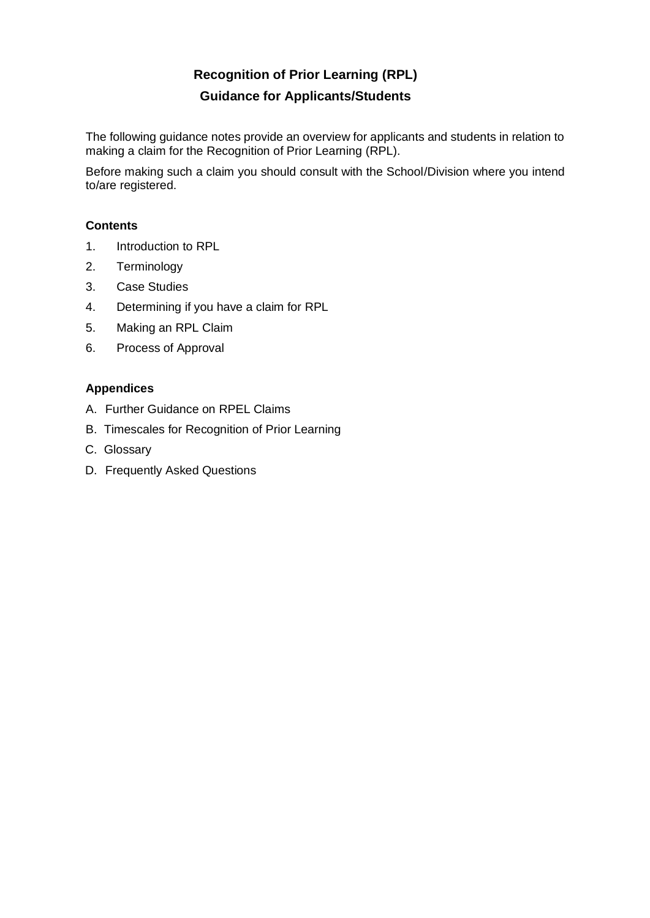# **Recognition of Prior Learning (RPL) Guidance for Applicants/Students**

The following guidance notes provide an overview for applicants and students in relation to making a claim for the Recognition of Prior Learning (RPL).

Before making such a claim you should consult with the School/Division where you intend to/are registered.

# **Contents**

- 1. Introduction to RPL
- 2. Terminology
- 3. Case Studies
- 4. Determining if you have a claim for RPL
- 5. Making an RPL Claim
- 6. Process of Approval

# **Appendices**

- A. Further Guidance on RPEL Claims
- B. Timescales for Recognition of Prior Learning
- C. Glossary
- D. Frequently Asked Questions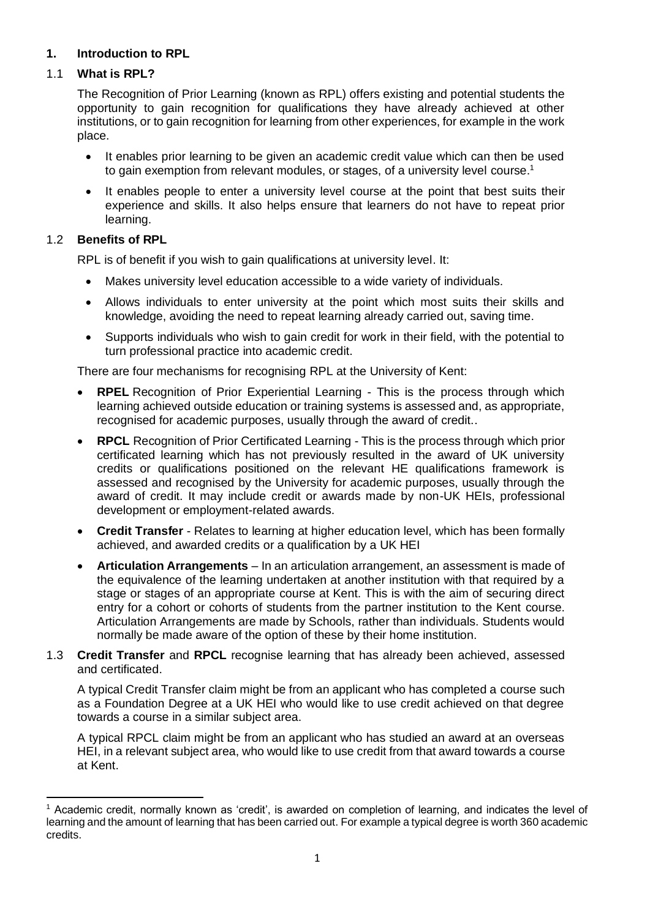# **1. Introduction to RPL**

# 1.1 **What is RPL?**

The Recognition of Prior Learning (known as RPL) offers existing and potential students the opportunity to gain recognition for qualifications they have already achieved at other institutions, or to gain recognition for learning from other experiences, for example in the work place.

- It enables prior learning to be given an academic credit value which can then be used to gain exemption from relevant modules, or stages, of a university level course.<sup>1</sup>
- It enables people to enter a university level course at the point that best suits their experience and skills. It also helps ensure that learners do not have to repeat prior learning.

# 1.2 **Benefits of RPL**

RPL is of benefit if you wish to gain qualifications at university level. It:

- Makes university level education accessible to a wide variety of individuals.
- Allows individuals to enter university at the point which most suits their skills and knowledge, avoiding the need to repeat learning already carried out, saving time.
- Supports individuals who wish to gain credit for work in their field, with the potential to turn professional practice into academic credit.

There are four mechanisms for recognising RPL at the University of Kent:

- **RPEL** Recognition of Prior Experiential Learning This is the process through which learning achieved outside education or training systems is assessed and, as appropriate, recognised for academic purposes, usually through the award of credit..
- **RPCL** Recognition of Prior Certificated Learning This is the process through which prior certificated learning which has not previously resulted in the award of UK university credits or qualifications positioned on the relevant HE qualifications framework is assessed and recognised by the University for academic purposes, usually through the award of credit. It may include credit or awards made by non-UK HEIs, professional development or employment-related awards.
- **Credit Transfer** Relates to learning at higher education level, which has been formally achieved, and awarded credits or a qualification by a UK HEI
- **Articulation Arrangements** In an articulation arrangement, an assessment is made of the equivalence of the learning undertaken at another institution with that required by a stage or stages of an appropriate course at Kent. This is with the aim of securing direct entry for a cohort or cohorts of students from the partner institution to the Kent course. Articulation Arrangements are made by Schools, rather than individuals. Students would normally be made aware of the option of these by their home institution.
- 1.3 **Credit Transfer** and **RPCL** recognise learning that has already been achieved, assessed and certificated.

A typical Credit Transfer claim might be from an applicant who has completed a course such as a Foundation Degree at a UK HEI who would like to use credit achieved on that degree towards a course in a similar subject area.

A typical RPCL claim might be from an applicant who has studied an award at an overseas HEI, in a relevant subject area, who would like to use credit from that award towards a course at Kent.

<sup>1</sup> Academic credit, normally known as 'credit', is awarded on completion of learning, and indicates the level of learning and the amount of learning that has been carried out. For example a typical degree is worth 360 academic credits.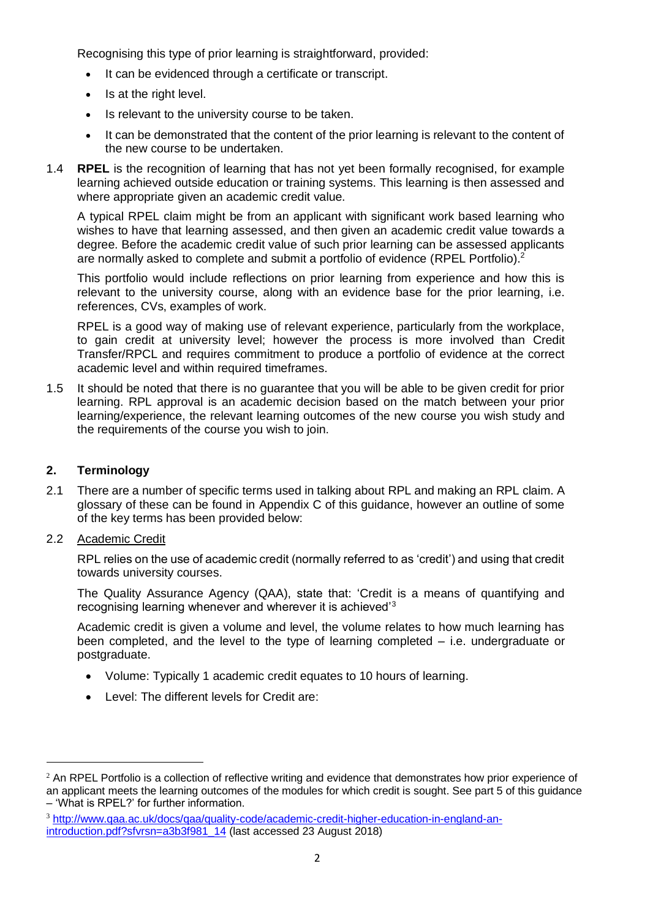Recognising this type of prior learning is straightforward, provided:

- It can be evidenced through a certificate or transcript.
- Is at the right level.
- Is relevant to the university course to be taken.
- It can be demonstrated that the content of the prior learning is relevant to the content of the new course to be undertaken.
- 1.4 **RPEL** is the recognition of learning that has not yet been formally recognised, for example learning achieved outside education or training systems. This learning is then assessed and where appropriate given an academic credit value.

A typical RPEL claim might be from an applicant with significant work based learning who wishes to have that learning assessed, and then given an academic credit value towards a degree. Before the academic credit value of such prior learning can be assessed applicants are normally asked to complete and submit a portfolio of evidence (RPEL Portfolio).<sup>2</sup>

This portfolio would include reflections on prior learning from experience and how this is relevant to the university course, along with an evidence base for the prior learning, i.e. references, CVs, examples of work.

RPEL is a good way of making use of relevant experience, particularly from the workplace, to gain credit at university level; however the process is more involved than Credit Transfer/RPCL and requires commitment to produce a portfolio of evidence at the correct academic level and within required timeframes.

1.5 It should be noted that there is no guarantee that you will be able to be given credit for prior learning. RPL approval is an academic decision based on the match between your prior learning/experience, the relevant learning outcomes of the new course you wish study and the requirements of the course you wish to join.

## **2. Terminology**

- 2.1 There are a number of specific terms used in talking about RPL and making an RPL claim. A glossary of these can be found in Appendix C of this guidance, however an outline of some of the key terms has been provided below:
- 2.2 Academic Credit

RPL relies on the use of academic credit (normally referred to as 'credit') and using that credit towards university courses.

The Quality Assurance Agency (QAA), state that: 'Credit is a means of quantifying and recognising learning whenever and wherever it is achieved'<sup>3</sup>

Academic credit is given a volume and level, the volume relates to how much learning has been completed, and the level to the type of learning completed – i.e. undergraduate or postgraduate.

- Volume: Typically 1 academic credit equates to 10 hours of learning.
- Level: The different levels for Credit are:

 $<sup>2</sup>$  An RPEL Portfolio is a collection of reflective writing and evidence that demonstrates how prior experience of</sup> an applicant meets the learning outcomes of the modules for which credit is sought. See part 5 of this guidance – 'What is RPEL?' for further information.

<sup>3</sup> [http://www.qaa.ac.uk/docs/qaa/quality-code/academic-credit-higher-education-in-england-an](http://www.qaa.ac.uk/docs/qaa/quality-code/academic-credit-higher-education-in-england-an-introduction.pdf?sfvrsn=a3b3f981_14)[introduction.pdf?sfvrsn=a3b3f981\\_14](http://www.qaa.ac.uk/docs/qaa/quality-code/academic-credit-higher-education-in-england-an-introduction.pdf?sfvrsn=a3b3f981_14) (last accessed 23 August 2018)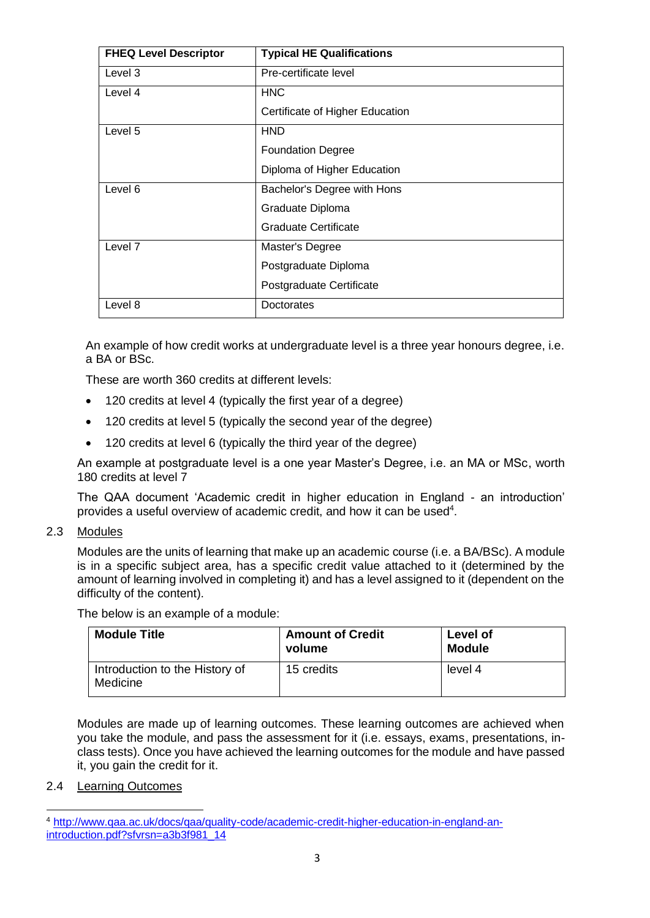| <b>FHEQ Level Descriptor</b> | <b>Typical HE Qualifications</b> |
|------------------------------|----------------------------------|
| Level 3                      | Pre-certificate level            |
| Level 4                      | <b>HNC</b>                       |
|                              | Certificate of Higher Education  |
| Level 5                      | <b>HND</b>                       |
|                              | <b>Foundation Degree</b>         |
|                              | Diploma of Higher Education      |
| Level 6                      | Bachelor's Degree with Hons      |
|                              | Graduate Diploma                 |
|                              | Graduate Certificate             |
| Level <sub>7</sub>           | Master's Degree                  |
|                              | Postgraduate Diploma             |
|                              | Postgraduate Certificate         |
| Level 8                      | Doctorates                       |

An example of how credit works at undergraduate level is a three year honours degree, i.e. a BA or BSc.

These are worth 360 credits at different levels:

- 120 credits at level 4 (typically the first year of a degree)
- 120 credits at level 5 (typically the second year of the degree)
- 120 credits at level 6 (typically the third year of the degree)

An example at postgraduate level is a one year Master's Degree, i.e. an MA or MSc, worth 180 credits at level 7

The QAA document 'Academic credit in higher education in England - an introduction' provides a useful overview of academic credit, and how it can be used<sup>4</sup>.

2.3 Modules

Modules are the units of learning that make up an academic course (i.e. a BA/BSc). A module is in a specific subject area, has a specific credit value attached to it (determined by the amount of learning involved in completing it) and has a level assigned to it (dependent on the difficulty of the content).

The below is an example of a module:

| <b>Module Title</b>                        | <b>Amount of Credit</b><br>volume | Level of<br><b>Module</b> |
|--------------------------------------------|-----------------------------------|---------------------------|
| Introduction to the History of<br>Medicine | 15 credits                        | level 4                   |

Modules are made up of learning outcomes. These learning outcomes are achieved when you take the module, and pass the assessment for it (i.e. essays, exams, presentations, inclass tests). Once you have achieved the learning outcomes for the module and have passed it, you gain the credit for it.

2.4 Learning Outcomes

<sup>4</sup> [http://www.qaa.ac.uk/docs/qaa/quality-code/academic-credit-higher-education-in-england-an](http://www.qaa.ac.uk/docs/qaa/quality-code/academic-credit-higher-education-in-england-an-introduction.pdf?sfvrsn=a3b3f981_14)[introduction.pdf?sfvrsn=a3b3f981\\_14](http://www.qaa.ac.uk/docs/qaa/quality-code/academic-credit-higher-education-in-england-an-introduction.pdf?sfvrsn=a3b3f981_14)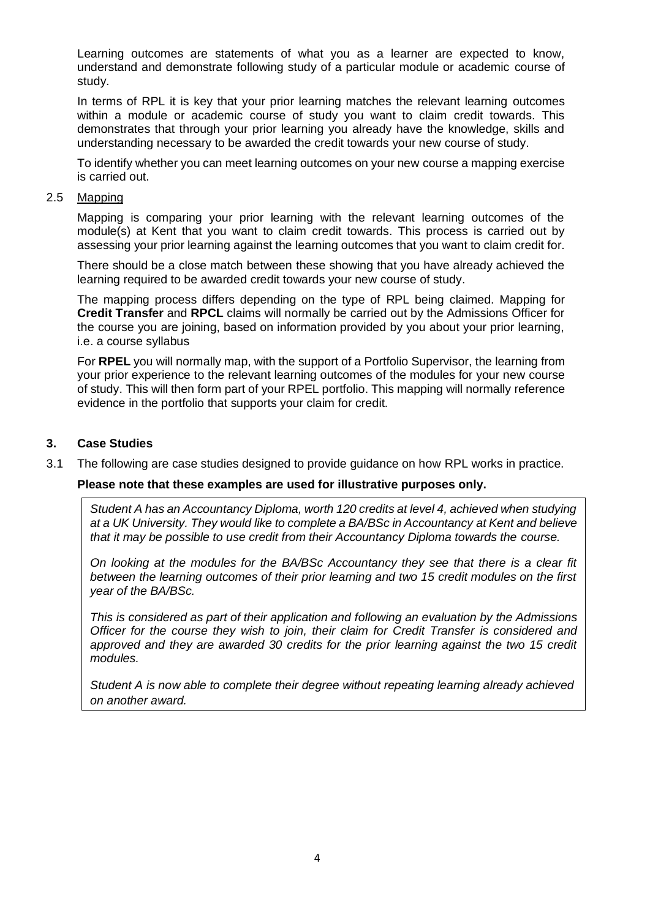Learning outcomes are statements of what you as a learner are expected to know, understand and demonstrate following study of a particular module or academic course of study.

In terms of RPL it is key that your prior learning matches the relevant learning outcomes within a module or academic course of study you want to claim credit towards. This demonstrates that through your prior learning you already have the knowledge, skills and understanding necessary to be awarded the credit towards your new course of study.

To identify whether you can meet learning outcomes on your new course a mapping exercise is carried out.

#### 2.5 Mapping

Mapping is comparing your prior learning with the relevant learning outcomes of the module(s) at Kent that you want to claim credit towards. This process is carried out by assessing your prior learning against the learning outcomes that you want to claim credit for.

There should be a close match between these showing that you have already achieved the learning required to be awarded credit towards your new course of study.

The mapping process differs depending on the type of RPL being claimed. Mapping for **Credit Transfer** and **RPCL** claims will normally be carried out by the Admissions Officer for the course you are joining, based on information provided by you about your prior learning, i.e. a course syllabus

For **RPEL** you will normally map, with the support of a Portfolio Supervisor, the learning from your prior experience to the relevant learning outcomes of the modules for your new course of study. This will then form part of your RPEL portfolio. This mapping will normally reference evidence in the portfolio that supports your claim for credit.

## **3. Case Studies**

3.1 The following are case studies designed to provide guidance on how RPL works in practice.

#### **Please note that these examples are used for illustrative purposes only.**

*Student A has an Accountancy Diploma, worth 120 credits at level 4, achieved when studying at a UK University. They would like to complete a BA/BSc in Accountancy at Kent and believe that it may be possible to use credit from their Accountancy Diploma towards the course.* 

*On looking at the modules for the BA/BSc Accountancy they see that there is a clear fit between the learning outcomes of their prior learning and two 15 credit modules on the first year of the BA/BSc.* 

*This is considered as part of their application and following an evaluation by the Admissions Officer for the course they wish to join, their claim for Credit Transfer is considered and*  approved and they are awarded 30 credits for the prior learning against the two 15 credit *modules.* 

*Student A is now able to complete their degree without repeating learning already achieved on another award.*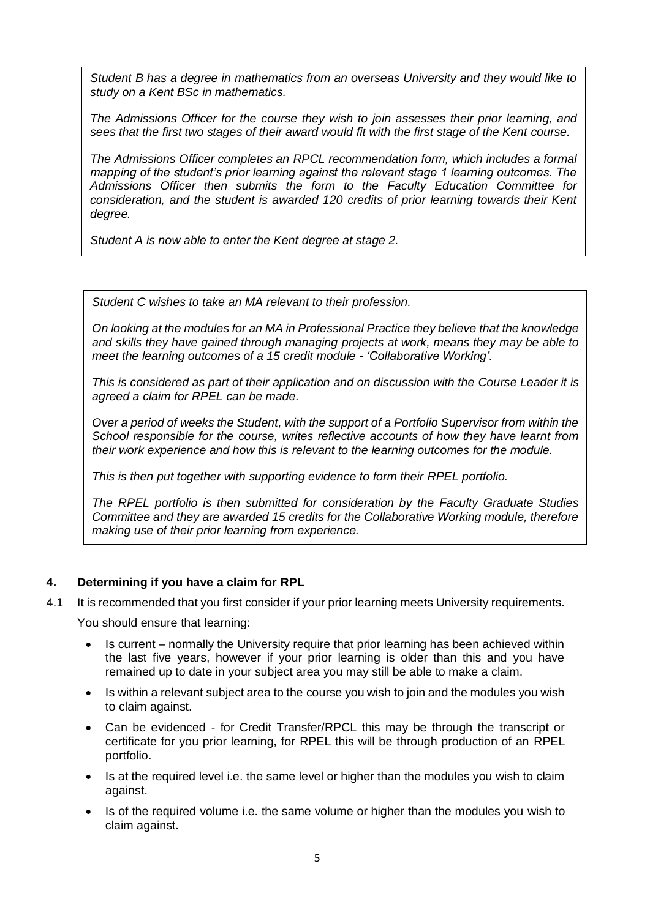*Student B has a degree in mathematics from an overseas University and they would like to study on a Kent BSc in mathematics.* 

*The Admissions Officer for the course they wish to join assesses their prior learning, and sees that the first two stages of their award would fit with the first stage of the Kent course.* 

*The Admissions Officer completes an RPCL recommendation form, which includes a formal mapping of the student's prior learning against the relevant stage 1 learning outcomes. The Admissions Officer then submits the form to the Faculty Education Committee for consideration, and the student is awarded 120 credits of prior learning towards their Kent degree.* 

*Student A is now able to enter the Kent degree at stage 2.*

*Student C wishes to take an MA relevant to their profession.*

*On looking at the modules for an MA in Professional Practice they believe that the knowledge and skills they have gained through managing projects at work, means they may be able to meet the learning outcomes of a 15 credit module - 'Collaborative Working'.* 

*This is considered as part of their application and on discussion with the Course Leader it is agreed a claim for RPEL can be made.* 

*Over a period of weeks the Student, with the support of a Portfolio Supervisor from within the School responsible for the course, writes reflective accounts of how they have learnt from their work experience and how this is relevant to the learning outcomes for the module.* 

*This is then put together with supporting evidence to form their RPEL portfolio.*

*The RPEL portfolio is then submitted for consideration by the Faculty Graduate Studies Committee and they are awarded 15 credits for the Collaborative Working module, therefore making use of their prior learning from experience.*

## **4. Determining if you have a claim for RPL**

4.1 It is recommended that you first consider if your prior learning meets University requirements.

You should ensure that learning:

- Is current normally the University require that prior learning has been achieved within the last five years, however if your prior learning is older than this and you have remained up to date in your subject area you may still be able to make a claim.
- Is within a relevant subject area to the course you wish to join and the modules you wish to claim against.
- Can be evidenced for Credit Transfer/RPCL this may be through the transcript or certificate for you prior learning, for RPEL this will be through production of an RPEL portfolio.
- Is at the required level i.e. the same level or higher than the modules you wish to claim against.
- Is of the required volume i.e. the same volume or higher than the modules you wish to claim against.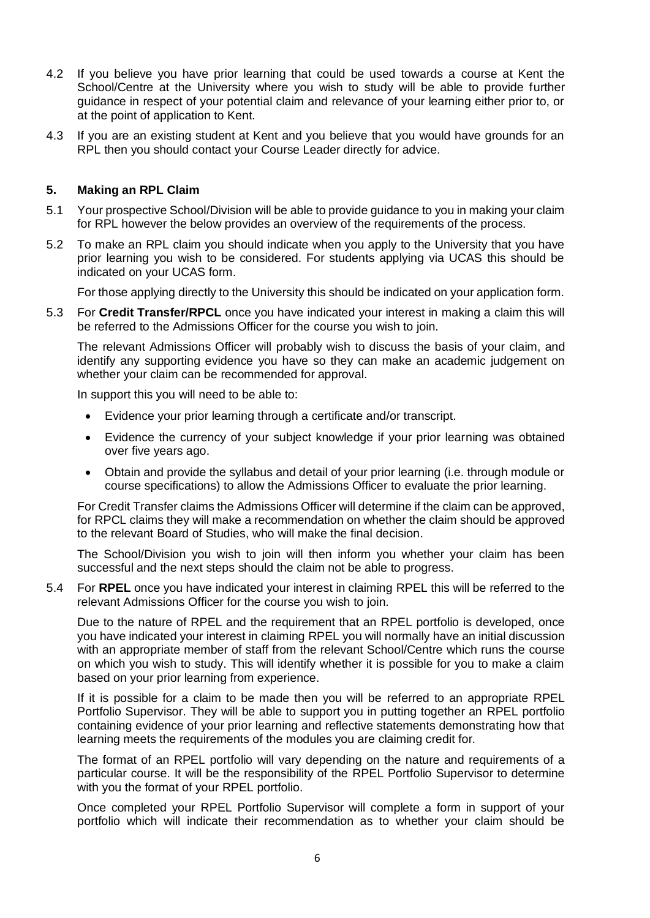- 4.2 If you believe you have prior learning that could be used towards a course at Kent the School/Centre at the University where you wish to study will be able to provide further guidance in respect of your potential claim and relevance of your learning either prior to, or at the point of application to Kent.
- 4.3 If you are an existing student at Kent and you believe that you would have grounds for an RPL then you should contact your Course Leader directly for advice.

## **5. Making an RPL Claim**

- 5.1 Your prospective School/Division will be able to provide guidance to you in making your claim for RPL however the below provides an overview of the requirements of the process.
- 5.2 To make an RPL claim you should indicate when you apply to the University that you have prior learning you wish to be considered. For students applying via UCAS this should be indicated on your UCAS form.

For those applying directly to the University this should be indicated on your application form.

5.3 For **Credit Transfer/RPCL** once you have indicated your interest in making a claim this will be referred to the Admissions Officer for the course you wish to join.

The relevant Admissions Officer will probably wish to discuss the basis of your claim, and identify any supporting evidence you have so they can make an academic judgement on whether your claim can be recommended for approval.

In support this you will need to be able to:

- Evidence your prior learning through a certificate and/or transcript.
- Evidence the currency of your subject knowledge if your prior learning was obtained over five years ago.
- Obtain and provide the syllabus and detail of your prior learning (i.e. through module or course specifications) to allow the Admissions Officer to evaluate the prior learning.

For Credit Transfer claims the Admissions Officer will determine if the claim can be approved, for RPCL claims they will make a recommendation on whether the claim should be approved to the relevant Board of Studies, who will make the final decision.

The School/Division you wish to join will then inform you whether your claim has been successful and the next steps should the claim not be able to progress.

5.4 For **RPEL** once you have indicated your interest in claiming RPEL this will be referred to the relevant Admissions Officer for the course you wish to join.

Due to the nature of RPEL and the requirement that an RPEL portfolio is developed, once you have indicated your interest in claiming RPEL you will normally have an initial discussion with an appropriate member of staff from the relevant School/Centre which runs the course on which you wish to study. This will identify whether it is possible for you to make a claim based on your prior learning from experience.

If it is possible for a claim to be made then you will be referred to an appropriate RPEL Portfolio Supervisor. They will be able to support you in putting together an RPEL portfolio containing evidence of your prior learning and reflective statements demonstrating how that learning meets the requirements of the modules you are claiming credit for.

The format of an RPEL portfolio will vary depending on the nature and requirements of a particular course. It will be the responsibility of the RPEL Portfolio Supervisor to determine with you the format of your RPEL portfolio.

Once completed your RPEL Portfolio Supervisor will complete a form in support of your portfolio which will indicate their recommendation as to whether your claim should be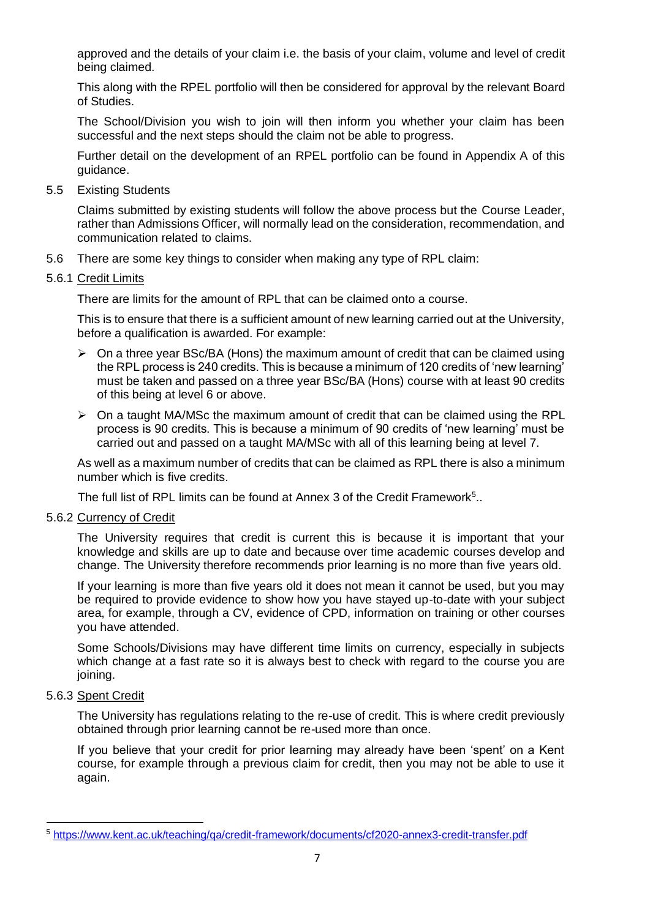approved and the details of your claim i.e. the basis of your claim, volume and level of credit being claimed.

This along with the RPEL portfolio will then be considered for approval by the relevant Board of Studies.

The School/Division you wish to join will then inform you whether your claim has been successful and the next steps should the claim not be able to progress.

Further detail on the development of an RPEL portfolio can be found in Appendix A of this guidance.

5.5 Existing Students

Claims submitted by existing students will follow the above process but the Course Leader, rather than Admissions Officer, will normally lead on the consideration, recommendation, and communication related to claims.

- 5.6 There are some key things to consider when making any type of RPL claim:
- 5.6.1 Credit Limits

There are limits for the amount of RPL that can be claimed onto a course.

This is to ensure that there is a sufficient amount of new learning carried out at the University, before a qualification is awarded. For example:

- $\triangleright$  On a three year BSc/BA (Hons) the maximum amount of credit that can be claimed using the RPL process is 240 credits. This is because a minimum of 120 credits of 'new learning' must be taken and passed on a three year BSc/BA (Hons) course with at least 90 credits of this being at level 6 or above.
- $\triangleright$  On a taught MA/MSc the maximum amount of credit that can be claimed using the RPL process is 90 credits. This is because a minimum of 90 credits of 'new learning' must be carried out and passed on a taught MA/MSc with all of this learning being at level 7.

As well as a maximum number of credits that can be claimed as RPL there is also a minimum number which is five credits.

The full list of RPL limits can be found at Annex 3 of the Credit Framework<sup>5</sup>..

5.6.2 Currency of Credit

The University requires that credit is current this is because it is important that your knowledge and skills are up to date and because over time academic courses develop and change. The University therefore recommends prior learning is no more than five years old.

If your learning is more than five years old it does not mean it cannot be used, but you may be required to provide evidence to show how you have stayed up-to-date with your subject area, for example, through a CV, evidence of CPD, information on training or other courses you have attended.

Some Schools/Divisions may have different time limits on currency, especially in subjects which change at a fast rate so it is always best to check with regard to the course you are joining.

## 5.6.3 Spent Credit

The University has regulations relating to the re-use of credit. This is where credit previously obtained through prior learning cannot be re-used more than once.

If you believe that your credit for prior learning may already have been 'spent' on a Kent course, for example through a previous claim for credit, then you may not be able to use it again.

<sup>5</sup> <https://www.kent.ac.uk/teaching/qa/credit-framework/documents/cf2020-annex3-credit-transfer.pdf>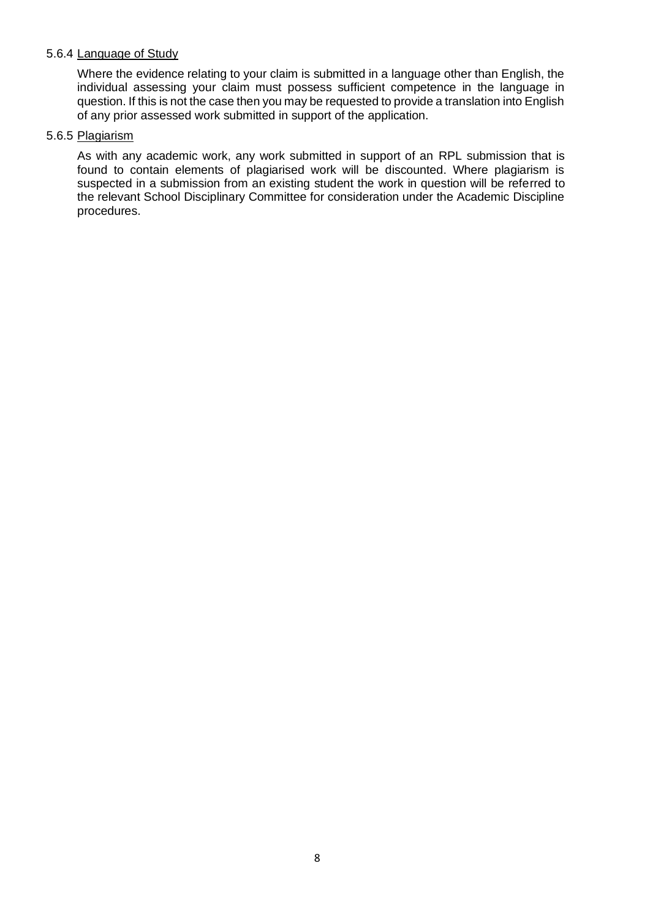## 5.6.4 Language of Study

Where the evidence relating to your claim is submitted in a language other than English, the individual assessing your claim must possess sufficient competence in the language in question. If this is not the case then you may be requested to provide a translation into English of any prior assessed work submitted in support of the application.

### 5.6.5 Plagiarism

As with any academic work, any work submitted in support of an RPL submission that is found to contain elements of plagiarised work will be discounted. Where plagiarism is suspected in a submission from an existing student the work in question will be referred to the relevant School Disciplinary Committee for consideration under the Academic Discipline procedures.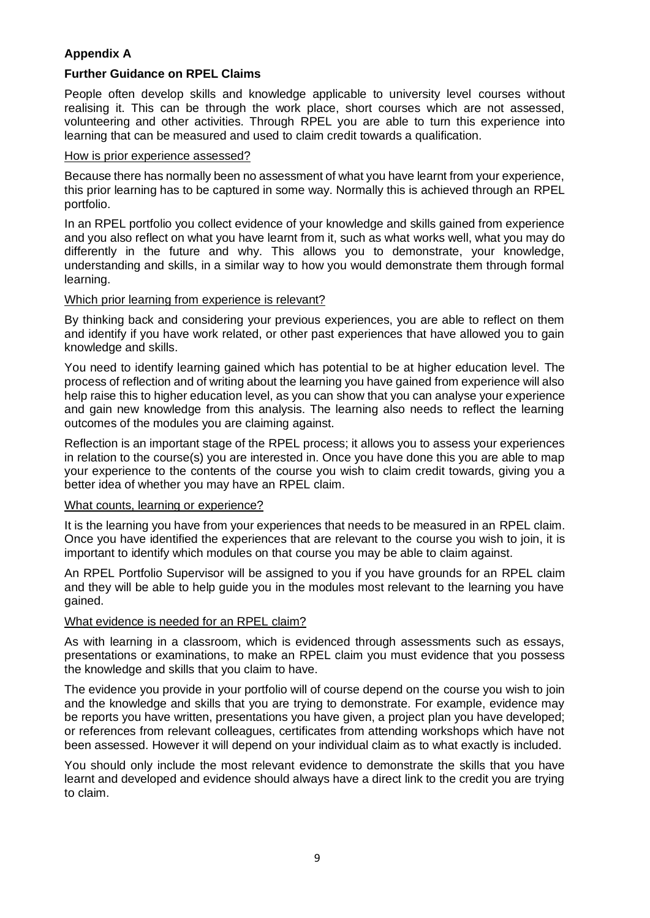# **Appendix A**

## **Further Guidance on RPEL Claims**

People often develop skills and knowledge applicable to university level courses without realising it. This can be through the work place, short courses which are not assessed, volunteering and other activities. Through RPEL you are able to turn this experience into learning that can be measured and used to claim credit towards a qualification.

#### How is prior experience assessed?

Because there has normally been no assessment of what you have learnt from your experience, this prior learning has to be captured in some way. Normally this is achieved through an RPEL portfolio.

In an RPEL portfolio you collect evidence of your knowledge and skills gained from experience and you also reflect on what you have learnt from it, such as what works well, what you may do differently in the future and why. This allows you to demonstrate, your knowledge, understanding and skills, in a similar way to how you would demonstrate them through formal learning.

## Which prior learning from experience is relevant?

By thinking back and considering your previous experiences, you are able to reflect on them and identify if you have work related, or other past experiences that have allowed you to gain knowledge and skills.

You need to identify learning gained which has potential to be at higher education level. The process of reflection and of writing about the learning you have gained from experience will also help raise this to higher education level, as you can show that you can analyse your experience and gain new knowledge from this analysis. The learning also needs to reflect the learning outcomes of the modules you are claiming against.

Reflection is an important stage of the RPEL process; it allows you to assess your experiences in relation to the course(s) you are interested in. Once you have done this you are able to map your experience to the contents of the course you wish to claim credit towards, giving you a better idea of whether you may have an RPEL claim.

## What counts, learning or experience?

It is the learning you have from your experiences that needs to be measured in an RPEL claim. Once you have identified the experiences that are relevant to the course you wish to join, it is important to identify which modules on that course you may be able to claim against.

An RPEL Portfolio Supervisor will be assigned to you if you have grounds for an RPEL claim and they will be able to help guide you in the modules most relevant to the learning you have gained.

#### What evidence is needed for an RPEL claim?

As with learning in a classroom, which is evidenced through assessments such as essays, presentations or examinations, to make an RPEL claim you must evidence that you possess the knowledge and skills that you claim to have.

The evidence you provide in your portfolio will of course depend on the course you wish to join and the knowledge and skills that you are trying to demonstrate. For example, evidence may be reports you have written, presentations you have given, a project plan you have developed; or references from relevant colleagues, certificates from attending workshops which have not been assessed. However it will depend on your individual claim as to what exactly is included.

You should only include the most relevant evidence to demonstrate the skills that you have learnt and developed and evidence should always have a direct link to the credit you are trying to claim.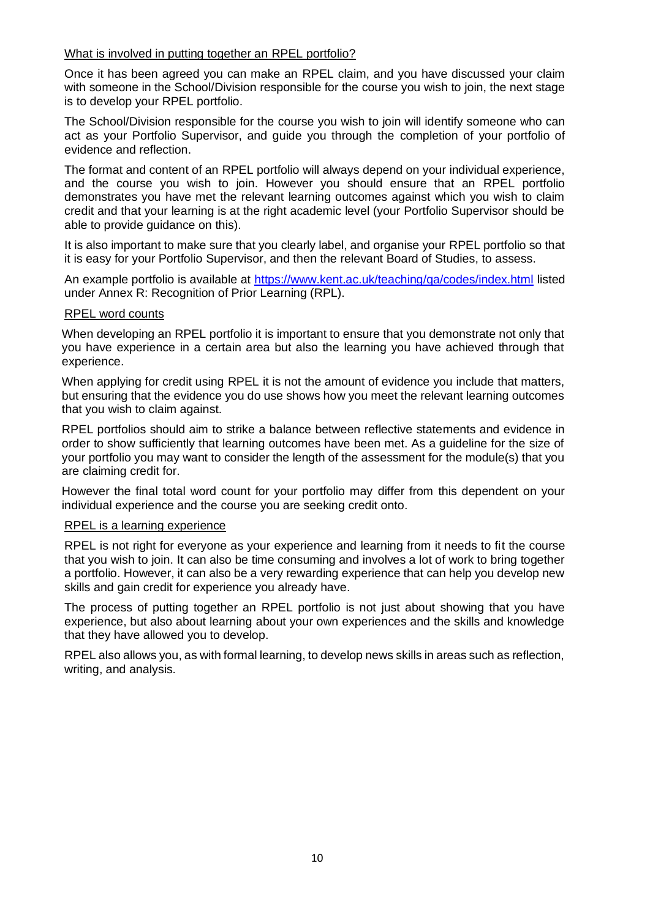### What is involved in putting together an RPEL portfolio?

Once it has been agreed you can make an RPEL claim, and you have discussed your claim with someone in the School/Division responsible for the course you wish to join, the next stage is to develop your RPEL portfolio.

The School/Division responsible for the course you wish to join will identify someone who can act as your Portfolio Supervisor, and guide you through the completion of your portfolio of evidence and reflection.

The format and content of an RPEL portfolio will always depend on your individual experience, and the course you wish to join. However you should ensure that an RPEL portfolio demonstrates you have met the relevant learning outcomes against which you wish to claim credit and that your learning is at the right academic level (your Portfolio Supervisor should be able to provide guidance on this).

It is also important to make sure that you clearly label, and organise your RPEL portfolio so that it is easy for your Portfolio Supervisor, and then the relevant Board of Studies, to assess.

An example portfolio is available at <https://www.kent.ac.uk/teaching/qa/codes/index.html> listed under Annex R: Recognition of Prior Learning (RPL).

#### RPEL word counts

When developing an RPEL portfolio it is important to ensure that you demonstrate not only that you have experience in a certain area but also the learning you have achieved through that experience.

When applying for credit using RPEL it is not the amount of evidence you include that matters, but ensuring that the evidence you do use shows how you meet the relevant learning outcomes that you wish to claim against.

RPEL portfolios should aim to strike a balance between reflective statements and evidence in order to show sufficiently that learning outcomes have been met. As a guideline for the size of your portfolio you may want to consider the length of the assessment for the module(s) that you are claiming credit for.

However the final total word count for your portfolio may differ from this dependent on your individual experience and the course you are seeking credit onto.

#### RPEL is a learning experience

RPEL is not right for everyone as your experience and learning from it needs to fit the course that you wish to join. It can also be time consuming and involves a lot of work to bring together a portfolio. However, it can also be a very rewarding experience that can help you develop new skills and gain credit for experience you already have.

The process of putting together an RPEL portfolio is not just about showing that you have experience, but also about learning about your own experiences and the skills and knowledge that they have allowed you to develop.

RPEL also allows you, as with formal learning, to develop news skills in areas such as reflection, writing, and analysis.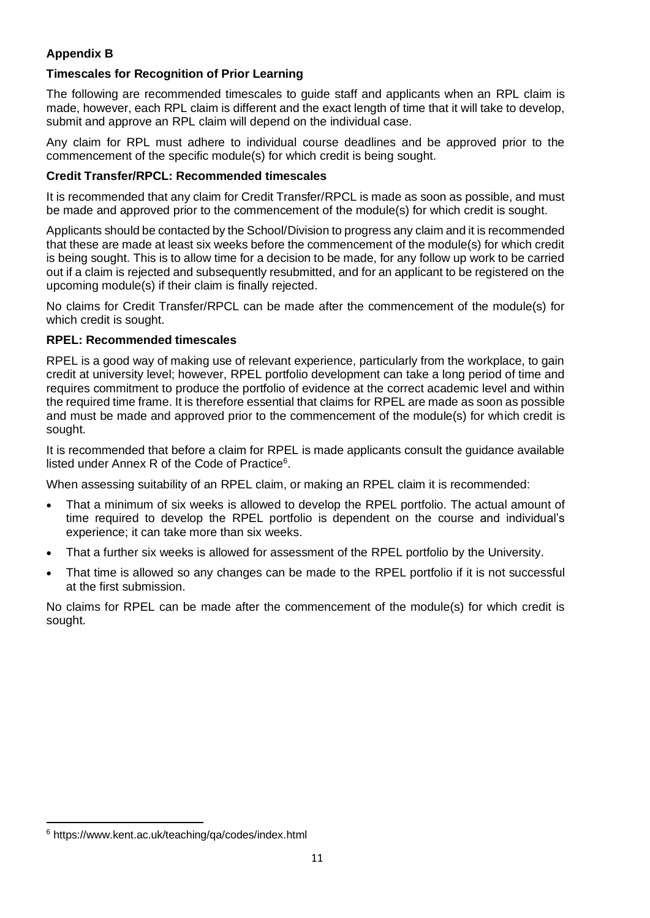# **Appendix B**

# **Timescales for Recognition of Prior Learning**

The following are recommended timescales to guide staff and applicants when an RPL claim is made, however, each RPL claim is different and the exact length of time that it will take to develop, submit and approve an RPL claim will depend on the individual case.

Any claim for RPL must adhere to individual course deadlines and be approved prior to the commencement of the specific module(s) for which credit is being sought.

# **Credit Transfer/RPCL: Recommended timescales**

It is recommended that any claim for Credit Transfer/RPCL is made as soon as possible, and must be made and approved prior to the commencement of the module(s) for which credit is sought.

Applicants should be contacted by the School/Division to progress any claim and it is recommended that these are made at least six weeks before the commencement of the module(s) for which credit is being sought. This is to allow time for a decision to be made, for any follow up work to be carried out if a claim is rejected and subsequently resubmitted, and for an applicant to be registered on the upcoming module(s) if their claim is finally rejected.

No claims for Credit Transfer/RPCL can be made after the commencement of the module(s) for which credit is sought.

## **RPEL: Recommended timescales**

RPEL is a good way of making use of relevant experience, particularly from the workplace, to gain credit at university level; however, RPEL portfolio development can take a long period of time and requires commitment to produce the portfolio of evidence at the correct academic level and within the required time frame. It is therefore essential that claims for RPEL are made as soon as possible and must be made and approved prior to the commencement of the module(s) for which credit is sought.

It is recommended that before a claim for RPEL is made applicants consult the guidance available listed under Annex R of the Code of Practice<sup>6</sup>.

When assessing suitability of an RPEL claim, or making an RPEL claim it is recommended:

- That a minimum of six weeks is allowed to develop the RPEL portfolio. The actual amount of time required to develop the RPEL portfolio is dependent on the course and individual's experience; it can take more than six weeks.
- That a further six weeks is allowed for assessment of the RPEL portfolio by the University.
- That time is allowed so any changes can be made to the RPEL portfolio if it is not successful at the first submission.

No claims for RPEL can be made after the commencement of the module(s) for which credit is sought.

<sup>6</sup> https://www.kent.ac.uk/teaching/qa/codes/index.html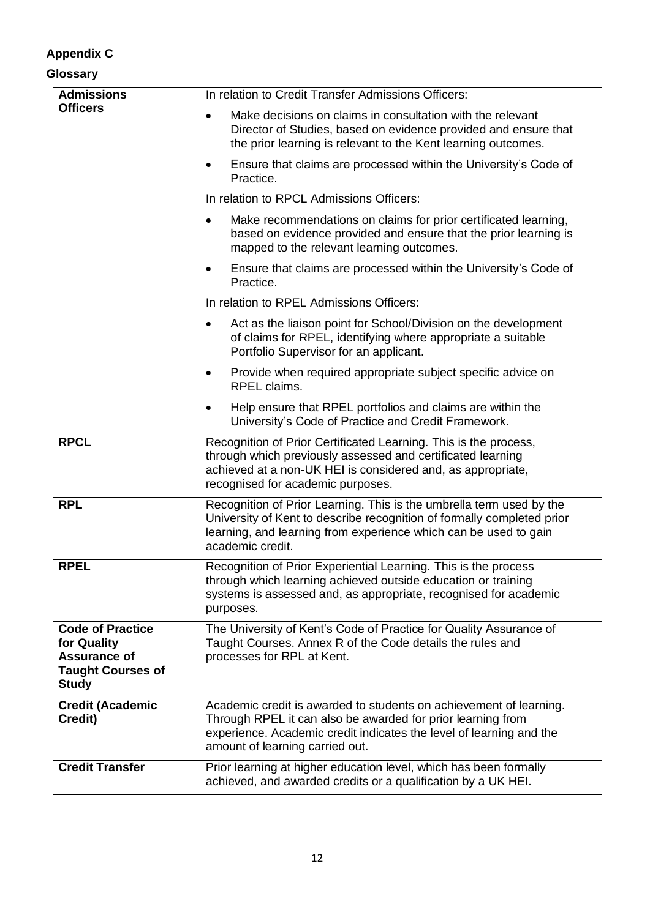# **Appendix C**

# **Glossary**

| <b>Admissions</b>                                                                                  | In relation to Credit Transfer Admissions Officers:                                                                                                                                                                                         |
|----------------------------------------------------------------------------------------------------|---------------------------------------------------------------------------------------------------------------------------------------------------------------------------------------------------------------------------------------------|
| <b>Officers</b>                                                                                    | Make decisions on claims in consultation with the relevant<br>$\bullet$<br>Director of Studies, based on evidence provided and ensure that<br>the prior learning is relevant to the Kent learning outcomes.                                 |
|                                                                                                    | Ensure that claims are processed within the University's Code of<br>$\bullet$<br>Practice.                                                                                                                                                  |
|                                                                                                    | In relation to RPCL Admissions Officers:                                                                                                                                                                                                    |
|                                                                                                    | Make recommendations on claims for prior certificated learning,<br>$\bullet$<br>based on evidence provided and ensure that the prior learning is<br>mapped to the relevant learning outcomes.                                               |
|                                                                                                    | Ensure that claims are processed within the University's Code of<br>$\bullet$<br>Practice.                                                                                                                                                  |
|                                                                                                    | In relation to RPEL Admissions Officers:                                                                                                                                                                                                    |
|                                                                                                    | Act as the liaison point for School/Division on the development<br>$\bullet$<br>of claims for RPEL, identifying where appropriate a suitable<br>Portfolio Supervisor for an applicant.                                                      |
|                                                                                                    | Provide when required appropriate subject specific advice on<br>$\bullet$<br>RPEL claims.                                                                                                                                                   |
|                                                                                                    | Help ensure that RPEL portfolios and claims are within the<br>$\bullet$<br>University's Code of Practice and Credit Framework.                                                                                                              |
| <b>RPCL</b>                                                                                        | Recognition of Prior Certificated Learning. This is the process,<br>through which previously assessed and certificated learning<br>achieved at a non-UK HEI is considered and, as appropriate,<br>recognised for academic purposes.         |
| <b>RPL</b>                                                                                         | Recognition of Prior Learning. This is the umbrella term used by the<br>University of Kent to describe recognition of formally completed prior<br>learning, and learning from experience which can be used to gain<br>academic credit.      |
| <b>RPEL</b>                                                                                        | Recognition of Prior Experiential Learning. This is the process<br>through which learning achieved outside education or training<br>systems is assessed and, as appropriate, recognised for academic<br>purposes.                           |
| <b>Code of Practice</b><br>for Quality<br>Assurance of<br><b>Taught Courses of</b><br><b>Study</b> | The University of Kent's Code of Practice for Quality Assurance of<br>Taught Courses. Annex R of the Code details the rules and<br>processes for RPL at Kent.                                                                               |
| <b>Credit (Academic</b><br>Credit)                                                                 | Academic credit is awarded to students on achievement of learning.<br>Through RPEL it can also be awarded for prior learning from<br>experience. Academic credit indicates the level of learning and the<br>amount of learning carried out. |
| <b>Credit Transfer</b>                                                                             | Prior learning at higher education level, which has been formally<br>achieved, and awarded credits or a qualification by a UK HEI.                                                                                                          |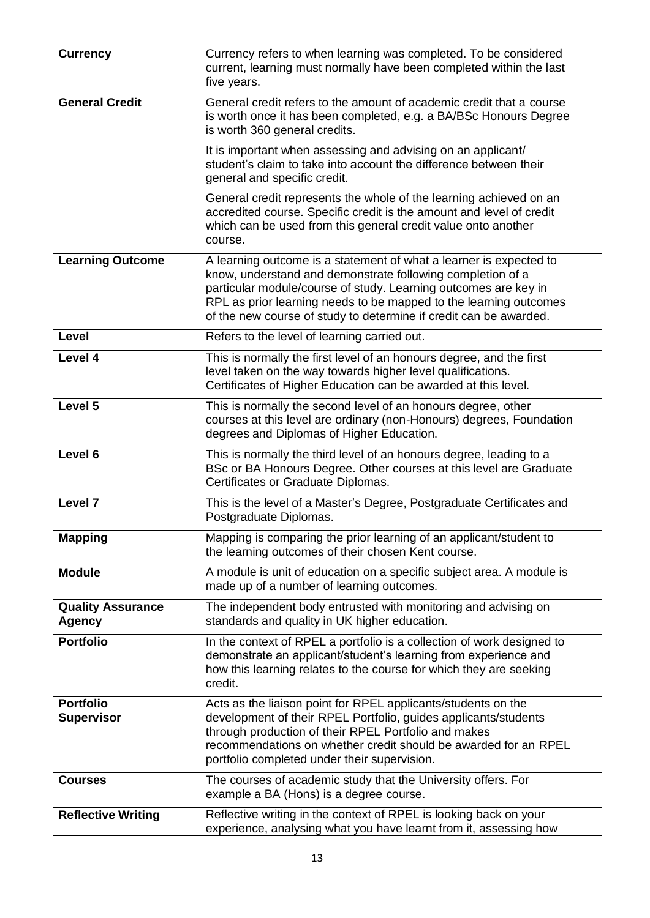| <b>Currency</b>                           | Currency refers to when learning was completed. To be considered<br>current, learning must normally have been completed within the last<br>five years.                                                                                                                                                                                        |
|-------------------------------------------|-----------------------------------------------------------------------------------------------------------------------------------------------------------------------------------------------------------------------------------------------------------------------------------------------------------------------------------------------|
| <b>General Credit</b>                     | General credit refers to the amount of academic credit that a course<br>is worth once it has been completed, e.g. a BA/BSc Honours Degree<br>is worth 360 general credits.                                                                                                                                                                    |
|                                           | It is important when assessing and advising on an applicant/<br>student's claim to take into account the difference between their<br>general and specific credit.                                                                                                                                                                             |
|                                           | General credit represents the whole of the learning achieved on an<br>accredited course. Specific credit is the amount and level of credit<br>which can be used from this general credit value onto another<br>course.                                                                                                                        |
| <b>Learning Outcome</b>                   | A learning outcome is a statement of what a learner is expected to<br>know, understand and demonstrate following completion of a<br>particular module/course of study. Learning outcomes are key in<br>RPL as prior learning needs to be mapped to the learning outcomes<br>of the new course of study to determine if credit can be awarded. |
| Level                                     | Refers to the level of learning carried out.                                                                                                                                                                                                                                                                                                  |
| Level 4                                   | This is normally the first level of an honours degree, and the first<br>level taken on the way towards higher level qualifications.<br>Certificates of Higher Education can be awarded at this level.                                                                                                                                         |
| Level 5                                   | This is normally the second level of an honours degree, other<br>courses at this level are ordinary (non-Honours) degrees, Foundation<br>degrees and Diplomas of Higher Education.                                                                                                                                                            |
| Level 6                                   | This is normally the third level of an honours degree, leading to a<br>BSc or BA Honours Degree. Other courses at this level are Graduate<br>Certificates or Graduate Diplomas.                                                                                                                                                               |
| Level 7                                   | This is the level of a Master's Degree, Postgraduate Certificates and<br>Postgraduate Diplomas.                                                                                                                                                                                                                                               |
| <b>Mapping</b>                            | Mapping is comparing the prior learning of an applicant/student to<br>the learning outcomes of their chosen Kent course.                                                                                                                                                                                                                      |
| <b>Module</b>                             | A module is unit of education on a specific subject area. A module is<br>made up of a number of learning outcomes.                                                                                                                                                                                                                            |
| <b>Quality Assurance</b><br><b>Agency</b> | The independent body entrusted with monitoring and advising on<br>standards and quality in UK higher education.                                                                                                                                                                                                                               |
| <b>Portfolio</b>                          | In the context of RPEL a portfolio is a collection of work designed to<br>demonstrate an applicant/student's learning from experience and<br>how this learning relates to the course for which they are seeking<br>credit.                                                                                                                    |
| <b>Portfolio</b><br><b>Supervisor</b>     | Acts as the liaison point for RPEL applicants/students on the<br>development of their RPEL Portfolio, guides applicants/students<br>through production of their RPEL Portfolio and makes<br>recommendations on whether credit should be awarded for an RPEL<br>portfolio completed under their supervision.                                   |
| <b>Courses</b>                            | The courses of academic study that the University offers. For<br>example a BA (Hons) is a degree course.                                                                                                                                                                                                                                      |
| <b>Reflective Writing</b>                 | Reflective writing in the context of RPEL is looking back on your<br>experience, analysing what you have learnt from it, assessing how                                                                                                                                                                                                        |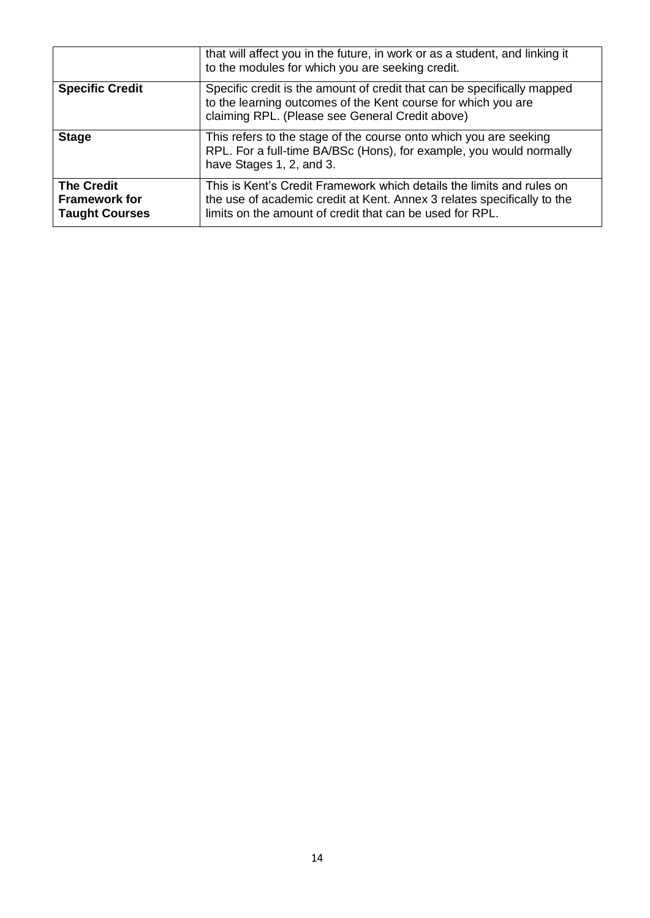|                                                                    | that will affect you in the future, in work or as a student, and linking it<br>to the modules for which you are seeking credit.                                                                              |
|--------------------------------------------------------------------|--------------------------------------------------------------------------------------------------------------------------------------------------------------------------------------------------------------|
| <b>Specific Credit</b>                                             | Specific credit is the amount of credit that can be specifically mapped<br>to the learning outcomes of the Kent course for which you are<br>claiming RPL. (Please see General Credit above)                  |
| <b>Stage</b>                                                       | This refers to the stage of the course onto which you are seeking<br>RPL. For a full-time BA/BSc (Hons), for example, you would normally<br>have Stages 1, 2, and 3.                                         |
| <b>The Credit</b><br><b>Framework for</b><br><b>Taught Courses</b> | This is Kent's Credit Framework which details the limits and rules on<br>the use of academic credit at Kent. Annex 3 relates specifically to the<br>limits on the amount of credit that can be used for RPL. |